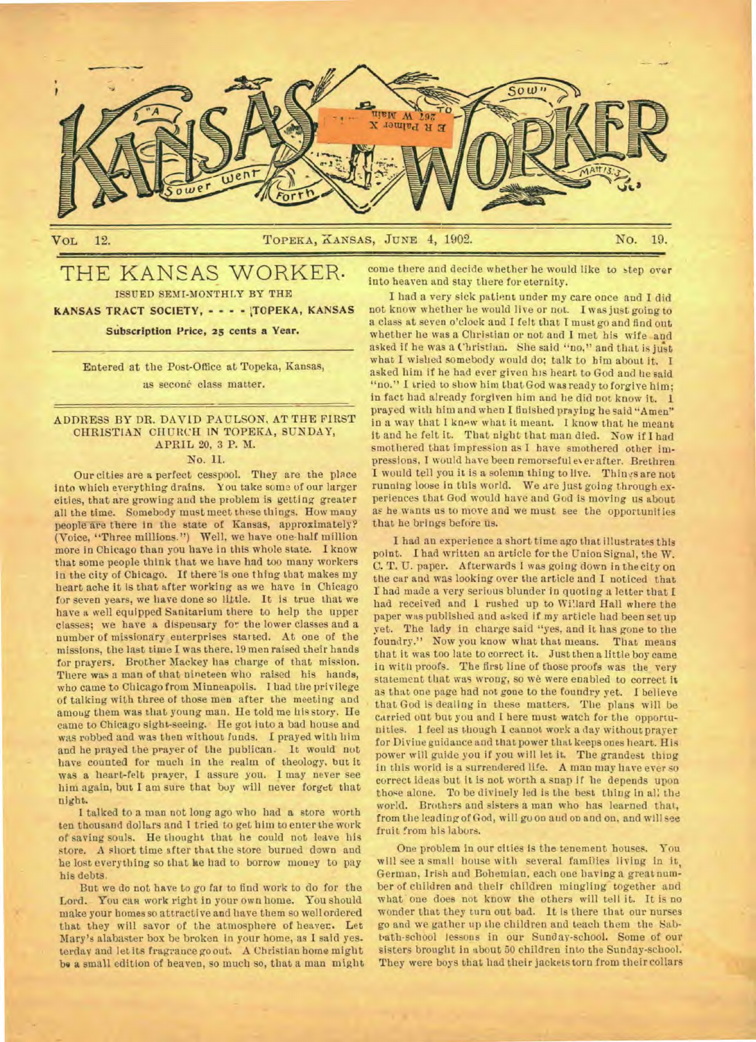

VOL 12. No. 19. TOPEKA, KANSAS, JUNE 4, 1902. No. 19.

# THE KANSAS WORKER. ISSUED SEMI-MONTHLY BY THE KANSAS TRACT SOCIETY, - - - · TOPEKA, KANSAS

**Sibscription Price, 25 cents a Year.** 

**Entered at the Post-Office at Topeka, Kansas,**  as second class matter.

**ADDRESS BY DR. DAVID PAULSON, AT THE FIRST CHRISTIAN CHURCH IN TOPEKA, SUNDAY, APRIL 20, 3 P. M.** 

# **No. II.**

**Our cities are a perfect cesspool. They are the place into which** everything drains. You **take soma of our larger cities, that are growing and the problem is getting greater all the time. Somebody must meet these things. How many**  people are there in the state of Kansas, approximately? **(Voice, "Three millions.") Well, we have one-half million more in Chicago than you have in this whole state. I know that some people think that we have had too many workers**  in the city of Chicago. If there is one thing that makes my **heart ache it is that after working as we have in Chicago for seven years, we have done so little. It is true that we have a well equipped Sanitarium there to help the upper classes; we have a dispensary fo^ the lower classes and a number of missionary euterprises started. At one of the missions, the last time I was there.** 19 men raised their hands for prayers. Brother Mackey has charge of that mission. There was a man **of that nineteen who raised his hands, who came to Chicago from Minneapolis. I had the privilege of talking with three of those men after the meeting and among them was that young mau. He told me his story. He came to Chicago sight-seeing. He got into a bad house and was robbed and was then without funds. I prayed with him and he prayed the prayer of the publican. It would not have counted for much in the realm of theology, but it was a heart-felt prayer, I assure you. I may never see him again, but I am sure that buy will never forget that night.** 

**I talked to a man not long ago who had a store worth ten thousand dollars and I tried to get him to enter the work of saving** souls. **He thought that he could not leave his store. A short time after that the store burned down and he lost everything so that he had to borrow money to pay his debts.** 

**But we do not have to go far to find work to do for the**  Lord. You can work right in your own home. You should **make your homes so attractive and have them so well ordered that they will savor of the atmosphere of heaves. Let Mary's alabaster box be broken in your home, as I said yesterday and let its fragrance go out. A Christian home might be a small edition of heaven, so much so, that a man might** 

**come there and decide whether he would like to step over into heaven and stay there for eternity.** 

**I had a very sick patient under my care once and I did not know whether he would live or nut. I was just going to a class at seven o'clock and I felt that I must go and find out whether he was a Christian or not and I met his wife and asked if he was a Christian. She said "no," and that is just what I wished somebody would do; talk to him about it. I asked him if he had ever given his heart to God and he said "no." I tried to show him that God was ready to forgive him; in fact bad already forgiven him and lie did not know it. I. prayed with him and when I finished praying he said "Amen" in a way that I** knew what it meant. I know that **he meant it and he felt it. That night that man died. Now if I had smothered that impression as I have smothered other impressions, I would have been remorseful ever after. Brethren**  I would tell you it is a solemn thing to live. Things are not **running loose in this world. We are just going through experiences that God would have and God is** *moving* **us about as he wants us to move and we must see the opportunities that he brings before us.** 

**I had an experience a short time ago that illustrates this point. I had written an article for the Union Signal, the W. C. T. U. paper. Afterwards I** was *going* **down in the city on the car and was looking over the article and I noticed that I had made a very serious blunder in quoting a letter that I had received and 1 rushed up to Willard Hall where the paper was published and asked if my article had been set up yet. The lady in charge said "yes, and it has gone to the foundry." Now you know what that means. That means that it was too late to** correct **it. Just then a little boy came in with proofs\_ The first line of those proofs was the very statement that was wrong, so we were enabled to correct it as that one page bad not gone to the foundry yet. I believe that God is dealing in these matters. The plans will be carried out but you and I here must watch for the opportunities. 1 feel as though I cannot work a day without prayer for Divine guidance and that power that keeps ones heart. His power will guide you if you will let it. The grandest thing in this world is a surrendered life. A man may have ever so correct** ideas **but it is not worth a snap if he depends upon those alone. To be divinely led is the best thing in all the world. Brothers and sisters a man who has learned that, from the leading of God, will go on and on and on, and will see fruit from his labors.** 

**One problem in our cities is the tenement houses. You will see a small house with several families living in it, German,** Irish and **Bohemian, each one having a great number of children and their children mingling- together and what one does not know the others will tell it. It is no wonder that they turn out bad. It is there that our nurses go and we gather up the children and teach them the Sabbath-school** lessons in **our Sunday-school. Some of our**  sisters **brought in about 50 children into the Sunday-school. They were boys that had their jackets torn from their collars**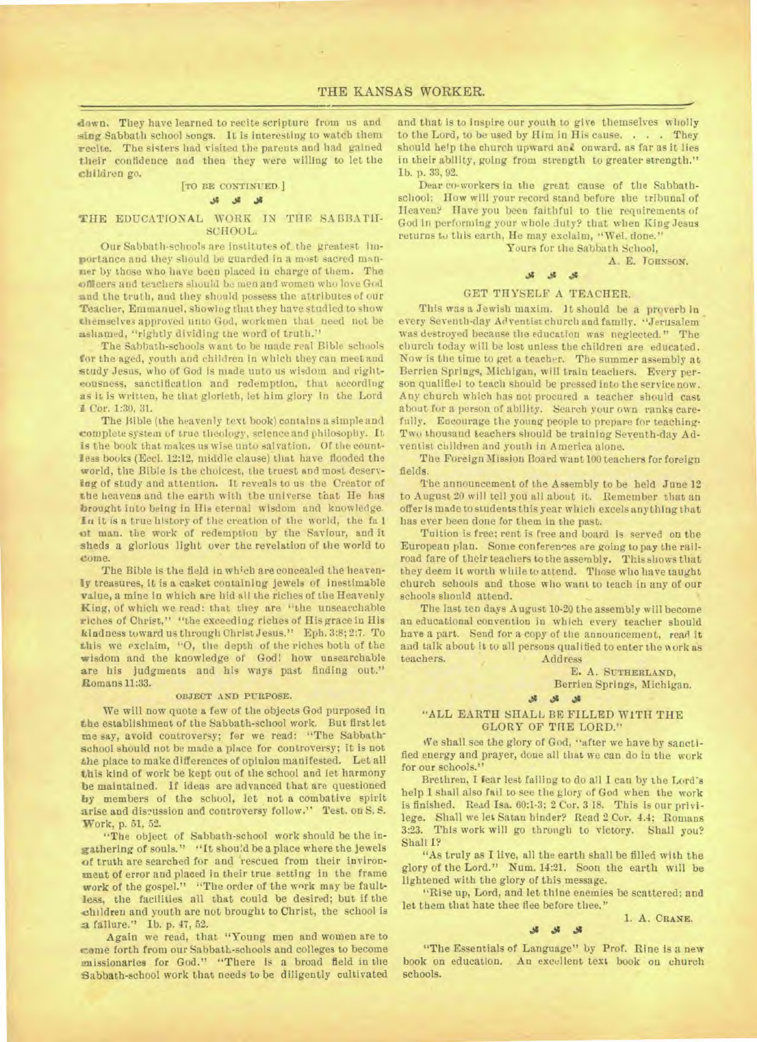down. They have learned to recite scripture from us and sing Sabbath school songs. It is interesting to watch them recite. The sisters had visited the parents and had gained their confidence and then they were willing to let the children go.

# **[TO BE CONTINUED.]**

# **JI**

# THE EDUCATIONAL WORK IN THE SABBATH-SCHOOL:

Our Sabbath-schools are institutes of the greatest importance and they should be guarded in a most sacred manlier by those who have been placed in charge of them. The officers and teachers should be men and women who love God and the truth, and they should possess the attributes of our Teacher, Emmanuel, showing that they have studied to show themselves approved unto God, workmen that need not be ashamed, "rightly dividing the word of truth."

The Sabbath-schools want to be made real Bible schools for the aged, youth and children in which they can meet and study Jesus, who of God is made unto us wisdom and righteousness, sanctification and redemption, that according as it is written, he that glorieth, let him glory in the Lord 1 Cor. 1:30, 31.

The Bible (the heavenly text book) contains a simple and complete system of true theology, science and philosophy. It is the book that makes us wise unto salvation. Of the countless books (Eccl. 12:12, middle clause) that have flooded the world, the Bible is the choicest, the truest and most deserving of study and attention. It reveals to us the Creator of the heavens and the earth with the universe that He has brought into being in His eternal wisdom and knowledge. In it is a true history of the creation of the world, the fa 1 of man. the work of redemption by the Saviour, and it **sheds** a glorious light over the revelation of the world to come.

The Bible is the field in which are concealed the heavenly treasures, it is a casket containing jewels of inestimable value, a mine in which are hid all the riches of the Heavenly King, of which we read: that they are "the unsearchable riches of Christ," "the exceeding riches of His grace in His kindness toward us through Christ Jesus." Eph. 3:8; 2:7. To this we exclaim, "0, the depth of the riches both of the wisdom and the knowledge of God! how unsearchable are his judgments and his ways past finding out." Romans 11:33.

# **OBJECT AND PURPOSE.**

We will now quote a few of the objects God purposed in **the** establishment of the Sabbath-school work. But first let me say, avoid controversy; for we read: "The Sabbathschool should not be made a place for controversy; it is not the place to make differences of opinion manifested. Let all this kind of work be kept out of the school and let harmony be maintained. If ideas are advanced that are questioned by members of the school, let not a combative spirit arise and discussion and controversy follow." Test. on S. S. Work, p. 51, 52.

"The object of Sabbath-school work should be the ingathering of souls." "It should be a place where the jewels of truth are searched for and rescued from their inviron*meat* **of** error and placed in their true setting in the frame **work** of the gospel." "The order of the work may be faultless, the facilities all that could be desired; but if the children and youth are not brought to Christ, the school is **a** failure." Ib. p. 47, 52.

Again we read, that "Young men and women are to .one forth from our Sabbath-schools and colleges to become missionaries for God." "There is a broad field in the Sabbath-school work that needs to be diligently cultivated

and that is to inspire our youth to give themselves wholly to the Lord, to be used by Him in His cause. . . . They should help the church upward and onward, as far as it lies in their ability, going from strength to greater strength." **lb. p.** 33, 92.

Dear co-workers in the great cause of the Sabbathschool: How will your record stand before the tribunal of Heaven? Have you been faithful to the requirements of God in performing your whole duty? that when King Jesus returns to this earth, He may exclaim, "Wel. done."

Yours for the Sabbath School,

A. E. **JOHNSON.** 

# **Jg J.**

# GET THYSELF A TEACHER.

This was a Jewish maxim. It should be a proverb in every Seventh-day Ad ventist church and family. "Jerusalem was destroyed because the education was neglected." The church today will be lost unless the children are educated. Now is the time to get a teacher. The summer assembly at Berrien Springs, Michigan, will train teachers. Every person qualified to teach should be pressed into the service now. Any church which has not procured a teacher should cast about for a person of ability. Search your own ranks carefully. Encourage the young people to prepare for teaching-Two thousand teachers should be training Seventh-day Adventist children and youth in America alone.

The Foreign Mission Board want 100 teachers for foreign fields.

The announcement of the Assembly to be held June 12 to August 20 will tell you all about it. Remember that an offer is made to students this year which excels anything that has ever been done for them in the past.

Tuition is free; rent is free and board is served on the European plan. Some conferences are going to pay the railroad fare of their teachers to the assembly. This shows that they deem it worth while to attend. Those who have taught church schools and those who want to teach in any of our schools should attend.

The last ten days August 10-20 the assembly will become an educational convention in which every teacher should have a part. Send for a copy of the announcement, read it and talk about it to all persons qualified to enter the work as teachers. Address

E. A. **SUTHERLAND,** 

Berrien Springs, Michigan.

#### **Jg**

### "ALL EARTH SHALL **BE FILLED WITH THE**  GLORY OF THE LORD."

We shall see the glory of God, "after we have by sanctified energy and prayer, done all that we can do in the work for our schools."

Brethren, I fear lest failing to do all I can by the Lord's help **1** shall also fail to see the glory of God when the work is finished. Read Isa. 60:1-3; 2 Cor. 3 18. This is our privilege. Shall we let Satan hinder? Read 2 Cur. 4.4; Romans 3:23. This work will go through to victory. Shall you? Shall I?

"As truly as I live, all the earth shall be filled with the glory of the Lord." Num. 14:21. Soon the earth will be lightened with the glory of this message.

"Rise up, Lord, and let thine enemies be scattered; and let them that hate thee flee before thee."

1. A. **CRANE.**   $.41 \quad .11 \quad .11$ 

"The Essentials of Language" by Prof. Rine is a new book on education. An excellent text book ou church schools.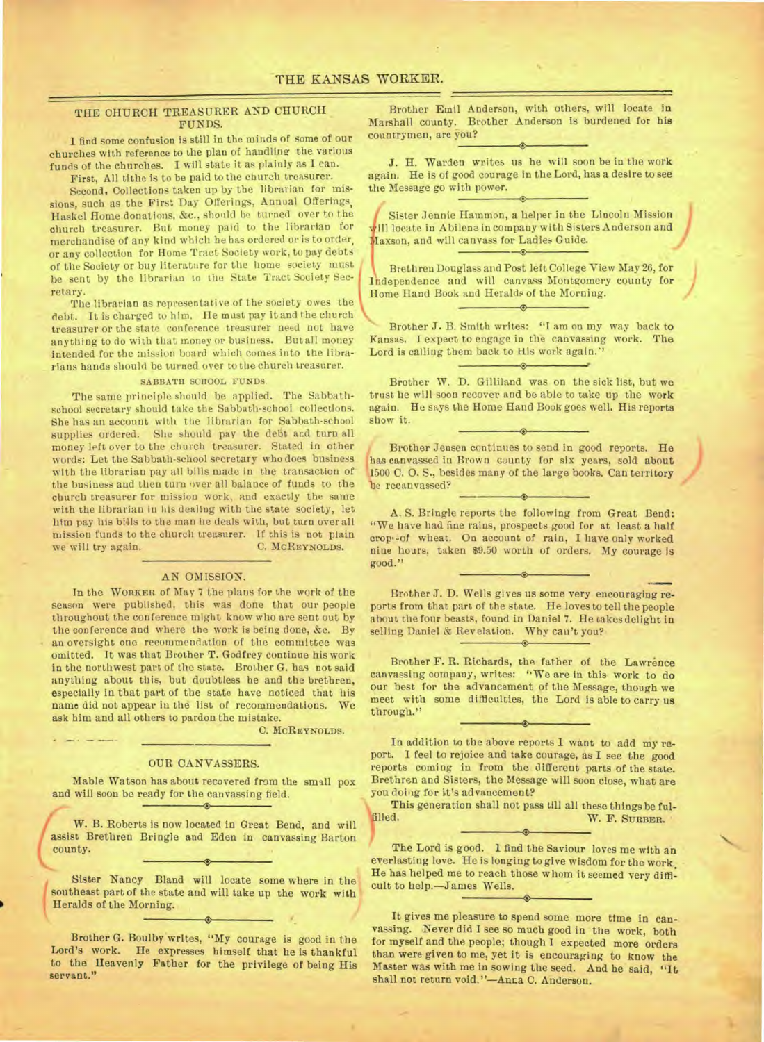# THE CHURCH TREASURER AND CHURCH FUNDS.

I find some confusion is still in the minds of some of our churches with reference to the plan of handling the various funds of the churches. I will state it as plainly as I can.

First, All tithe is to be paid to the church treasurer.

Second, Collections taken up by the librarian for missions, such as the First Day Offerings, Annual Offerings, Haskel Home donations, &c., should be turned over to the church treasurer. But money paid to the librarian for merchandise of any kind which he has ordered or is to order. or any collection for Home Tract Society work, to pay debts of the Society or buy literature for the home society must be sent by the librarian to the State Tract Society Secretary.

The librarian as representative of the society owes the debt. It is charged to him. He must pay it and the church treasurer or the state conference treasurer need not have anything to do with that money or business. But all money intended for the mission board which comes into the librarians hands should be turned over to the church treasurer.

#### **SABBATH SCHOOL FUNDS.**

The same principle should be applied. The Sabbathschool secretary should take the Sabbath-school collections. She has an account with the librarian for Sabbath-school supplies ordered. She should pay the debt and turn all money left over to the church treasurer. Stated in other words: Let the Sabbath-school secretary who does business with the librarian pay all bills made in the transaction of the business and then turn over all balance of funds to the church treasurer for mission work, and exactly the same with the librarian in his dealing with the state society, let him pay his bills to the man lie deals with, but turn over all mission funds to the church treasurer. If this is not plain we will try again. C. **MCREYNOLDS.** 

### AN OMISSION.

In the **WORKER** of May 7 the plans for the work of the season were published, this was done that our people throughout the conference might know who are sent out by the conference and where the work Is being done, &c. By an oversight one recommendation of the committee was omitted. It was that Brother T. Godfrey continue his work in the northwest part of the state. Brother G. has not said anything about this, but doubtless he and the brethren, especially in that part of the state have noticed that his name did not appear in the list of recommendations. We ask him and all others to pardon the mistake.

C. **MCREYNOLDS.** 

#### OUR CANVASSERS.

Mable Watson has about recovered from the small pox and will soon be ready for the canvassing field.

W. B. Roberts is now located in Great Bend, and will assist Brethren Bringle and Eden in canvassing Barton county.

Sister Nancy Bland will locate some where in the southeast part of the state and will take up the work with Heralds of the Morning.

*i*

 $\bullet$ 

Brother G. Boulby writes, "My courage is good in the Lord's work. He expresses himself that he is thankful to the Heavenly Father for the privilege of being His servant."

Brother Emil Anderson, with others, will locate in Marshall county. Brother Anderson is burdened for his countrymen, are you?

J. H. Warden writes us he will soon be in the work again. He is of good courage in the Lord, has a desire to see the Message go with power.

Sister Jennie Hammon, a helper in the Lincoln Mission will locate in Abilene in company with Sisters Anderson and Maxson, and will canvass for Ladies Guide.  $\circ$ 

 $\circ$ 

Brethren Douglass and Post left College View May 26, for Independence and will canvass Montgomery county for Home Hand Book and Heralds of the Morning.  $\leftrightarrow$ 

Brother *J.* B. Smith writes: "I am on my way back to Kansas. I expect to engage in the canvassing work. **The**  Lord is calling them back to His work again."

 $\hat{\hspace{1mm}}$ 

Brother W. D. Gilliland was on the sick list, but we trust he will soon recover and be able to take up the work again. He says the Home Hand Book goes well. His reports show it.

Brother Jensen continues to send in good reports. He has canvassed in Brown county for six years, sold about )1500 C. 0. S., besides many of the large books. Can territory **)3e** recanvassed?

A. S. Bringle reports the following from Great Bend: "We have had fine rains, prospects good for at least a half crops-of wheat. On account of rain, I have only worked nine hours, taken \$9.50 worth of orders. My courage is good."

Brother J. D. Wells gives us some very encouraging reports from that part of the state. He loves to tell the people about the four beasts, found in Daniel 7. He takes delight in selling Daniel & Revelation. Why can't you?

Brother F. R. Richards, the father of the Lawrence canvassing company, writes: "We are in this work to do our best for the advancement of the Message, though we meet with some difficulties, the Lord is able to carry us through."

In addition to the above reports I want to add my report. I feel to rejoice and take courage, as I see the good reports coming in from the different parts of the state. Brethren and Sisters, the Message will soon close, what are you doing for it's advancement?

This generation shall not pass till all these things be ful-<br>filled. W. F. Sunner. W. F. SURBER.

The Lord is good. 1 find the Saviour loves me with an everlasting love. He is longing to give wisdom for the work. He has helped me to reach those whom it seemed very difficult to help.—James Wells.

It gives me pleasure to spend some more time in canvassing. Never did I see so much good in the work, both for myself and the people; though I expected more orders than were given to me, yet it is encouraging to know the Master was with me in sowing the seed. And he said, "It shall not return void."-Anr.a C. Anderson.